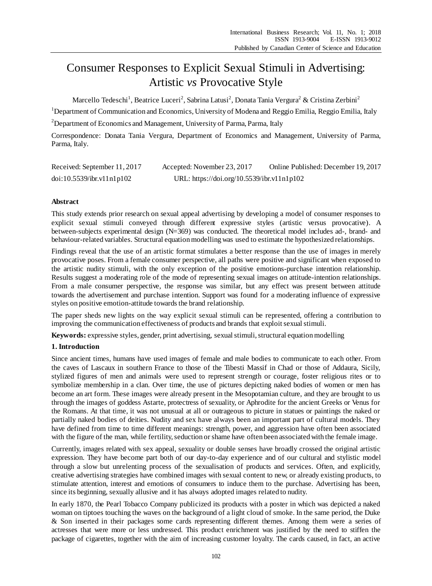# Consumer Responses to Explicit Sexual Stimuli in Advertising: Artistic *vs* Provocative Style

Marcello Tedeschi<sup>1</sup>, Beatrice Luceri<sup>2</sup>, Sabrina Latusi<sup>2</sup>, Donata Tania Vergura<sup>2</sup> & Cristina Zerbini<sup>2</sup>

<sup>1</sup>Department of Communication and Economics, University of Modena and Reggio Emilia, Reggio Emilia, Italy <sup>2</sup> Department of Economics and Management, University of Parma, Parma, Italy

Correspondence: Donata Tania Vergura, Department of Economics and Management, University of Parma, Parma, Italy.

| Received: September 11, 2017 | Accepted: November 23, 2017                | Online Published: December 19, 2017 |  |
|------------------------------|--------------------------------------------|-------------------------------------|--|
| doi:10.5539/ibr.v11nlp102    | URL: https://doi.org/10.5539/ibr.v11n1p102 |                                     |  |

# **Abstract**

This study extends prior research on sexual appeal advertising by developing a model of consumer responses to explicit sexual stimuli conveyed through different expressive styles (artistic versus provocative). A between-subjects experimental design (N=369) was conducted. The theoretical model includes ad-, brand- and behaviour-related variables. Structural equation modelling was used to estimate the hypothesized relationships.

Findings reveal that the use of an artistic format stimulates a better response than the use of images in merely provocative poses. From a female consumer perspective, all paths were positive and significant when exposed to the artistic nudity stimuli, with the only exception of the positive emotions-purchase intention relationship. Results suggest a moderating role of the mode of representing sexual images on attitude-intention relationships. From a male consumer perspective, the response was similar, but any effect was present between attitude towards the advertisement and purchase intention. Support was found for a moderating influence of expressive styles on positive emotion-attitude towards the brand relationship.

The paper sheds new lights on the way explicit sexual stimuli can be represented, offering a contribution to improving the communication effectiveness of products and brands that exploit sexual stimuli.

**Keywords:** expressive styles, gender, print advertising, sexual stimuli, structural equation modelling

# **1. Introduction**

Since ancient times, humans have used images of female and male bodies to communicate to each other. From the caves of Lascaux in southern France to those of the Tibesti Massif in Chad or those of Addaura, Sicily, stylized figures of men and animals were used to represent strength or courage, foster religious rites or to symbolize membership in a clan. Over time, the use of pictures depicting naked bodies of women or men has become an art form. These images were already present in the Mesopotamian culture, and they are brought to us through the images of goddess Astarte, protectress of sexuality, or Aphrodite for the ancient Greeks or Venus for the Romans. At that time, it was not unusual at all or outrageous to picture in statues or paintings the naked or partially naked bodies of deities. Nudity and sex have always been an important part of cultural models. They have defined from time to time different meanings: strength, power, and aggression have often been associated with the figure of the man, while fertility, seduction or shame have often been associated with the female image.

Currently, images related with sex appeal, sexuality or double senses have broadly crossed the original artistic expression. They have become part both of our day-to-day experience and of our cultural and stylistic model through a slow but unrelenting process of the sexualisation of products and services. Often, and explicitly, creative advertising strategies have combined images with sexual content to new, or already existing products, to stimulate attention, interest and emotions of consumers to induce them to the purchase. Advertising has been, since its beginning, sexually allusive and it has always adopted images related to nudity.

In early 1870, the Pearl Tobacco Company publicized its products with a poster in which was depicted a naked woman on tiptoes touching the waves on the background of a light cloud of smoke. In the same period, the Duke & Son inserted in their packages some cards representing different themes. Among them were a series of actresses that were more or less undressed. This product enrichment was justified by the need to stiffen the package of cigarettes, together with the aim of increasing customer loyalty. The cards caused, in fact, an active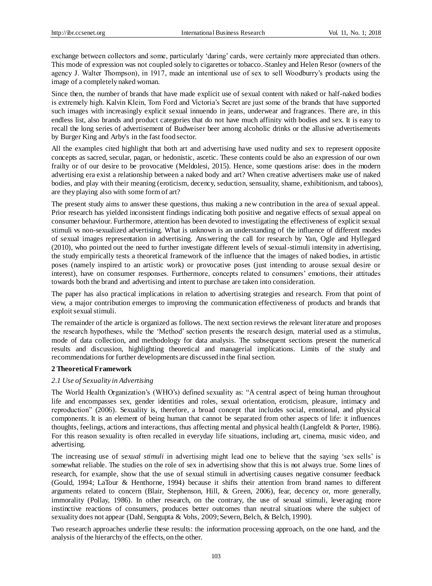exchange between collectors and some, particularly 'daring' cards, were certainly more appreciated than others. This mode of expression was not coupled solely to cigarettes or tobacco. Stanley and Helen Resor (owners of the agency J. Walter Thompson), in 1917, made an intentional use of sex to sell Woodburry's products using the image of a completely naked woman.

Since then, the number of brands that have made explicit use of sexual content with naked or half-naked bodies is extremely high. Kalvin Klein, Tom Ford and Victoria's Secret are just some of the brands that have supported such images with increasingly explicit sexual innuendo in jeans, underwear and fragrances. There are, in this endless list, also brands and product categories that do not have much affinity with bodies and sex. It is easy to recall the long series of advertisement of Budweiser beer among alcoholic drinks or the allusive advertisements by Burger King and Arby's in the fast food sector.

All the examples cited highlight that both art and advertising have used nudity and sex to represent opposite concepts as sacred, secular, pagan, or hedonistic, ascetic. These contents could be also an expression of our own frailty or of our desire to be provocative (Meldolesi, 2015). Hence, some questions arise: does in the modern advertising era exist a relationship between a naked body and art? When creative advertisers make use of naked bodies, and play with their meaning (eroticism, decency, seduction, sensuality, shame, exhibitionism, and taboos), are they playing also with some form of art?

The present study aims to answer these questions, thus making a new contribution in the area of sexual appeal. Prior research has yielded inconsistent findings indicating both positive and negative effects of sexual appeal on consumer behaviour. Furthermore, attention has been devoted to investigating the effectiveness of explicit sexual stimuli vs non-sexualized advertising. What is unknown is an understanding of the influence of different modes of sexual images representation in advertising. Answering the call for research by Yan, Ogle and Hyllegard (2010), who pointed out the need to further investigate different levels of sexual-stimuli intensity in advertising, the study empirically tests a theoretical framework of the influence that the images of naked bodies, in artistic poses (namely inspired to an artistic work) or provocative poses (just intending to arouse sexual desire or interest), have on consumer responses. Furthermore, concepts related to consumers' emotions, their attitudes towards both the brand and advertising and intent to purchase are taken into consideration.

The paper has also practical implications in relation to advertising strategies and research. From that point of view, a major contribution emerges to improving the communication effectiveness of products and brands that exploit sexual stimuli.

The remainder of the article is organized as follows. The next section reviews the relevant literature and proposes the research hypotheses, while the 'Method' section presents the research design, material used as a stimulus, mode of data collection, and methodology for data analysis. The subsequent sections present the numerical results and discussion, highlighting theoretical and managerial implications. Limits of the study and recommendations for further developments are discussed in the final section.

## **2 Theoretical Framework**

## *2.1 Use of Sexuality in Advertising*

The World Health Organization's (WHO's) defined sexuality as: "A central aspect of being human throughout life and encompasses sex, gender identities and roles, sexual orientation, eroticism, pleasure, intimacy and reproduction" (2006). Sexuality is, therefore, a broad concept that includes social, emotional, and physical components. It is an element of being human that cannot be separated from other aspects of life: it influences thoughts, feelings, actions and interactions, thus affecting mental and physical health (Langfeldt & Porter, 1986). For this reason sexuality is often recalled in everyday life situations, including art, cinema, music video, and advertising.

The increasing use of sex*ual stimuli* in advertising might lead one to believe that the saying 'sex sells' is somewhat reliable. The studies on the role of sex in advertising show that this is not always true. Some lines of research, for example, show that the use of sexual stimuli in advertising causes negative consumer feedback (Gould, 1994; LaTour & Henthorne, 1994) because it shifts their attention from brand names to different arguments related to concern (Blair, Stephenson, Hill, & Green, 2006), fear, decency or, more generally, immorality (Pollay, 1986). In other research, on the contrary, the use of sexual stimuli, leveraging more instinctive reactions of consumers, produces better outcomes than neutral situations where the subject of sexuality does not appear (Dahl, Sengupta & Vohs, 2009; Severn, Belch, & Belch, 1990).

Two research approaches underlie these results: the information processing approach, on the one hand, and the analysis of the hierarchy of the effects, on the other.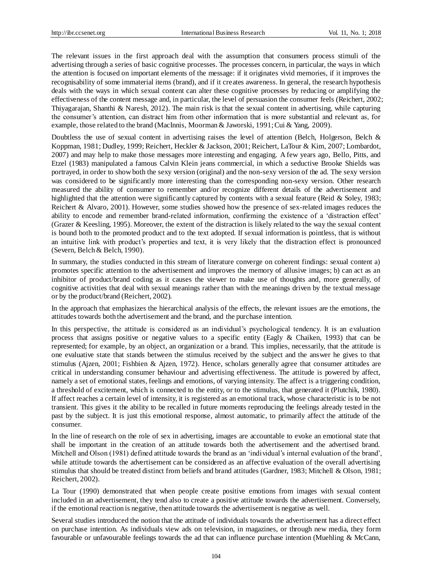The relevant issues in the first approach deal with the assumption that consumers process stimuli of the advertising through a series of basic cognitive processes. The processes concern, in particular, the ways in which the attention is focused on important elements of the message: if it originates vivid memories, if it improves the recognisability of some immaterial items (brand), and if it creates awareness. In general, the research hypothesis deals with the ways in which sexual content can alter these cognitive processes by reducing or amplifying the effectiveness of the content message and, in particular, the level of persuasion the consumer feels (Reichert, 2002; Thiyagarajan, Shanthi & Naresh, 2012). The main risk is that the sexual content in advertising, while capturing the consumer's attention, can distract him from other information that is more substantial and relevant as, for example, those related to the brand (MacInnis, Moorman& Jaworski, 1991; Cui & Yang, 2009).

Doubtless the use of sexual content in advertising raises the level of attention (Belch, Holgerson, Belch & Koppman, 1981; Dudley, 1999; Reichert, Heckler & Jackson, 2001; Reichert, LaTour & Kim, 2007; Lombardot, 2007) and may help to make those messages more interesting and engaging. A few years ago, Bello, Pitts, and Etzel (1983) manipulated a famous Calvin Klein jeans commercial, in which a seductive Brooke Shields was portrayed, in order to show both the sexy version (original) and the non-sexy version of the ad. The sexy version was considered to be significantly more interesting than the corresponding non-sexy version. Other research measured the ability of consumer to remember and/or recognize different details of the advertisement and highlighted that the attention were significantly captured by contents with a sexual feature (Reid & Soley, 1983; Reichert & Alvaro, 2001). However, some studies showed how the presence of sex-related images reduces the ability to encode and remember brand-related information, confirming the existence of a 'distraction effect' (Grazer & Keesling, 1995). Moreover, the extent of the distraction is likely related to the way the sexual content is bound both to the promoted product and to the text adopted. If sexual information is pointless, that is without an intuitive link with product's properties and text, it is very likely that the distraction effect is pronounced (Severn, Belch & Belch, 1990).

In summary, the studies conducted in this stream of literature converge on coherent findings: sexual content a) promotes specific attention to the advertisement and improves the memory of allusive images; b) can act as an inhibitor of product/brand coding as it causes the viewer to make use of thoughts and, more generally, of cognitive activities that deal with sexual meanings rather than with the meanings driven by the textual message or by the product/brand (Reichert, 2002).

In the approach that emphasizes the hierarchical analysis of the effects, the relevant issues are the emotions, the attitudes towards both the advertisement and the brand, and the purchase intention.

In this perspective, the attitude is considered as an individual's psychological tendency. It is an evaluation process that assigns positive or negative values to a specific entity (Eagly & Chaiken, 1993) that can be represented; for example, by an object, an organization or a brand. This implies, necessarily, that the attitude is one evaluative state that stands between the stimulus received by the subject and the answer he gives to that stimulus (Ajzen, 2001; Fishbien & Ajzen, 1972). Hence, scholars generally agree that consumer attitudes are critical in understanding consumer behaviour and advertising effectiveness. The attitude is powered by affect, namely a set of emotional states, feelings and emotions, of varying intensity. The affect is a triggering condition, a threshold of excitement, which is connected to the entity, or to the stimulus, that generated it (Plutchik, 1980). If affect reaches a certain level of intensity, it is registered as an emotional track, whose characteristic is to be not transient. This gives it the ability to be recalled in future moments reproducing the feelings already tested in the past by the subject. It is just this emotional response, almost automatic, to primarily affect the attitude of the consumer.

In the line of research on the role of sex in advertising, images are accountable to evoke an emotional state that shall be important in the creation of an attitude towards both the advertisement and the advertised brand. Mitchell and Olson (1981) defined attitude towards the brand as an 'individual's internal evaluation of the brand', while attitude towards the advertisement can be considered as an affective evaluation of the overall advertising stimulus that should be treated distinct from beliefs and brand attitudes (Gardner, 1983; Mitchell & Olson, 1981; Reichert, 2002).

La Tour (1990) demonstrated that when people create positive emotions from images with sexual content included in an advertisement, they tend also to create a positive attitude towards the advertisement. Conversely, if the emotional reaction is negative, then attitude towards the advertisement is negative as well.

Several studies introduced the notion that the attitude of individuals towards the advertisement has a direct effect on purchase intention. As individuals view ads on television, in magazines, or through new media, they form favourable or unfavourable feelings towards the ad that can influence purchase intention (Muehling & McCann,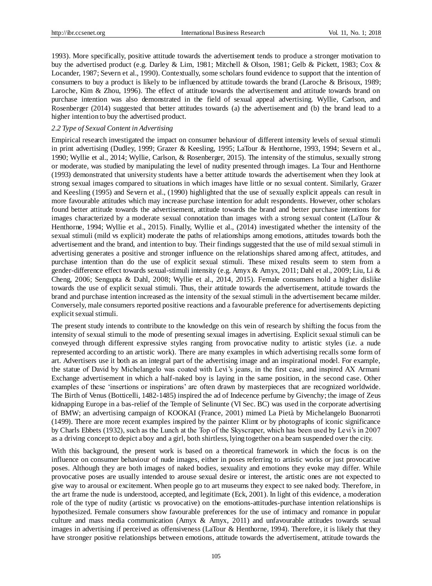1993). More specifically, positive attitude towards the advertisement tends to produce a stronger motivation to buy the advertised product (e.g. Darley & Lim, 1981; Mitchell & Olson, 1981; Gelb & Pickett, 1983; Cox & Locander, 1987; Severn et al., 1990). Contextually, some scholars found evidence to support that the intention of consumers to buy a product is likely to be influenced by attitude towards the brand (Laroche & Brisoux, 1989; Laroche, Kim & Zhou, 1996). The effect of attitude towards the advertisement and attitude towards brand on purchase intention was also demonstrated in the field of sexual appeal advertising. Wyllie, Carlson, and Rosenberger (2014) suggested that better attitudes towards (a) the advertisement and (b) the brand lead to a higher intention to buy the advertised product.

# *2.2 Type of Sexual Content in Advertising*

Empirical research investigated the impact on consumer behaviour of different intensity levels of sexual stimuli in print advertising (Dudley, 1999; Grazer & Keesling, 1995; LaTour & Henthorne, 1993, 1994; Severn et al., 1990; Wyllie et al., 2014; Wyllie, Carlson, & Rosenberger, 2015). The intensity of the stimulus, sexually strong or moderate, was studied by manipulating the level of nudity presented through images. La Tour and Henthorne (1993) demonstrated that university students have a better attitude towards the advertisement when they look at strong sexual images compared to situations in which images have little or no sexual content. Similarly, Grazer and Keesling (1995) and Severn et al., (1990) highlighted that the use of sexually explicit appeals can result in more favourable attitudes which may increase purchase intention for adult respondents. However, other scholars found better attitude towards the advertisement, attitude towards the brand and better purchase intentions for images characterized by a moderate sexual connotation than images with a strong sexual content (LaTour & Henthorne, 1994; Wyllie et al., 2015). Finally, Wyllie et al., (2014) investigated whether the intensity of the sexual stimuli (mild vs explicit) moderate the paths of relationships among emotions, attitudes towards both the advertisement and the brand, and intention to buy. Their findings suggested that the use of mild sexual stimuli in advertising generates a positive and stronger influence on the relationships shared among affect, attitudes, and purchase intention than do the use of explicit sexual stimuli. These mixed results seem to stem from a gender-difference effect towards sexual-stimuli intensity (e.g. Amyx & Amyx, 2011; Dahl et al., 2009; Liu, Li & Cheng, 2006; Sengupta & Dahl, 2008; Wyllie et al., 2014, 2015). Female consumers hold a higher dislike towards the use of explicit sexual stimuli. Thus, their attitude towards the advertisement, attitude towards the brand and purchase intention increased as the intensity of the sexual stimuli in the advertisement became milder. Conversely, male consumers reported positive reactions and a favourable preference for advertisements depicting explicit sexual stimuli.

The present study intends to contribute to the knowledge on this vein of research by shifting the focus from the intensity of sexual stimuli to the mode of presenting sexual images in advertising. Explicit sexual stimuli can be conveyed through different expressive styles ranging from provocative nudity to artistic styles (i.e. a nude represented according to an artistic work). There are many examples in which advertising recalls some form of art. Advertisers use it both as an integral part of the advertising image and an inspirational model. For example, the statue of David by Michelangelo was coated with Levi's jeans, in the first case, and inspired AX Armani Exchange advertisement in which a half-naked boy is laying in the same position, in the second case. Other examples of these 'insertions or inspirations' are often drawn by masterpieces that are recognized worldwide. The Birth of Venus (Botticelli, 1482-1485) inspired the ad of Indecence perfume by Givenchy; the image of Zeus kidnapping Europe in a bas-relief of the Temple of Selinunte (VI Sec. BC) was used in the corporate advertising of BMW; an advertising campaign of KOOKAI (France, 2001) mimed La Pietà by Michelangelo Buonarroti (1499). There are more recent examples inspired by the painter Klimt or by photographs of iconic significance by Charls Ebbets (1932), such as the Lunch at the Top of the Skyscraper, which has been used by Levi's in 2007 as a driving concept to depict a boy and a girl, both shirtless, lying together on a beam suspended over the city.

With this background, the present work is based on a theoretical framework in which the focus is on the influence on consumer behaviour of nude images, either in poses referring to artistic works or just provocative poses. Although they are both images of naked bodies, sexuality and emotions they evoke may differ. While provocative poses are usually intended to arouse sexual desire or interest, the artistic ones are not expected to give way to arousal or excitement. When people go to art museums they expect to see naked body. Therefore, in the art frame the nude is understood, accepted, and legitimate (Eck, 2001). In light of this evidence, a moderation role of the type of nudity (artistic vs provocative) on the emotions-attitudes-purchase intention relationships is hypothesized. Female consumers show favourable preferences for the use of intimacy and romance in popular culture and mass media communication (Amyx & Amyx, 2011) and unfavourable attitudes towards sexual images in advertising if perceived as offensiveness (LaTour & Henthorne, 1994). Therefore, it is likely that they have stronger positive relationships between emotions, attitude towards the advertisement, attitude towards the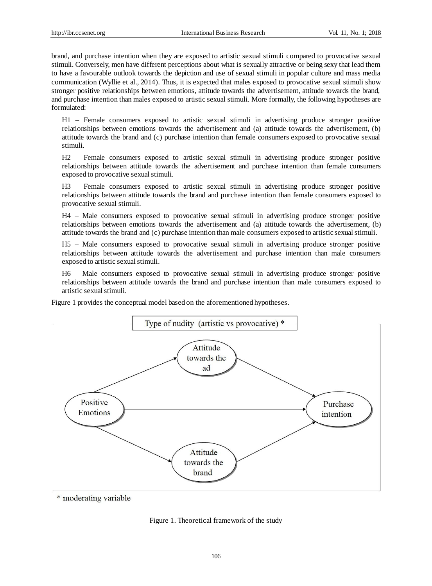brand, and purchase intention when they are exposed to artistic sexual stimuli compared to provocative sexual stimuli. Conversely, men have different perceptions about what is sexually attractive or being sexy that lead them to have a favourable outlook towards the depiction and use of sexual stimuli in popular culture and mass media communication (Wyllie et al., 2014). Thus, it is expected that males exposed to provocative sexual stimuli show stronger positive relationships between emotions, attitude towards the advertisement, attitude towards the brand, and purchase intention than males exposed to artistic sexual stimuli. More formally, the following hypotheses are formulated:

H1 – Female consumers exposed to artistic sexual stimuli in advertising produce stronger positive relationships between emotions towards the advertisement and (a) attitude towards the advertisement, (b) attitude towards the brand and (c) purchase intention than female consumers exposed to provocative sexual stimuli.

H2 – Female consumers exposed to artistic sexual stimuli in advertising produce stronger positive relationships between attitude towards the advertisement and purchase intention than female consumers exposed to provocative sexual stimuli.

H3 – Female consumers exposed to artistic sexual stimuli in advertising produce stronger positive relationships between attitude towards the brand and purchase intention than female consumers exposed to provocative sexual stimuli.

H4 – Male consumers exposed to provocative sexual stimuli in advertising produce stronger positive relationships between emotions towards the advertisement and (a) attitude towards the advertisement, (b) attitude towards the brand and (c) purchase intention than male consumers exposed to artistic sexual stimuli.

H5 – Male consumers exposed to provocative sexual stimuli in advertising produce stronger positive relationships between attitude towards the advertisement and purchase intention than male consumers exposed to artistic sexual stimuli.

H6 – Male consumers exposed to provocative sexual stimuli in advertising produce stronger positive relationships between attitude towards the brand and purchase intention than male consumers exposed to artistic sexual stimuli.

Figure 1 provides the conceptual model based on the aforementioned hypotheses.



\* moderating variable

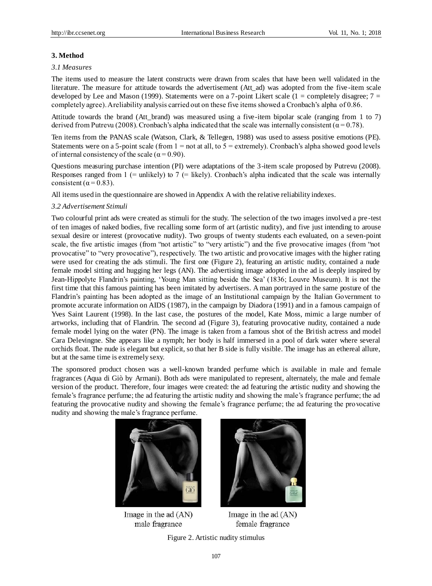# **3. Method**

# *3.1 Measures*

The items used to measure the latent constructs were drawn from scales that have been well validated in the literature. The measure for attitude towards the advertisement (Att\_ad) was adopted from the five -item scale developed by Lee and Mason (1999). Statements were on a 7-point Likert scale (1 = completely disagree;  $7 =$ completely agree). A reliability analysis carried out on these five items showed a Cronbach's alpha of 0.86.

Attitude towards the brand (Att brand) was measured using a five-item bipolar scale (ranging from 1 to 7) derived from Putrevu (2008). Cronbach's alpha indicated that the scale was internally consistent ( $\alpha$  = 0.78).

Ten items from the PANAS scale (Watson, Clark, & Tellegen, 1988) was used to assess positive emotions (PE). Statements were on a 5-point scale (from  $1 = not$  at all, to  $5 =$  extremely). Cronbach's alpha showed good levels of internal consistency of the scale ( $\alpha$  = 0.90).

Questions measuring purchase intention (PI) were adaptations of the 3-item scale proposed by Putrevu (2008). Responses ranged from 1 (= unlikely) to 7 (= likely). Cronbach's alpha indicated that the scale was internally consistent ( $\alpha$  = 0.83).

All items used in the questionnaire are showed in Appendix A with the relative reliability indexes.

# *3.2 Advertisement Stimuli*

Two colourful print ads were created as stimuli for the study. The selection of the two images involved a pre -test of ten images of naked bodies, five recalling some form of art (artistic nudity), and five just intending to arouse sexual desire or interest (provocative nudity). Two groups of twenty students each evaluated, on a seven-point scale, the five artistic images (from "not artistic" to "very artistic") and the five provocative images (from "not provocative" to "very provocative"), respectively. The two artistic and provocative images with the higher rating were used for creating the ads stimuli. The first one (Figure 2), featuring an artistic nudity, contained a nude female model sitting and hugging her legs (AN). The advertising image adopted in the ad is deeply inspired by Jean-Hippolyte Flandrin's painting, 'Young Man sitting beside the Sea' (1836; Louvre Museum). It is not the first time that this famous painting has been imitated by advertisers. A man portrayed in the same posture of the Flandrin's painting has been adopted as the image of an Institutional campaign by the Italian Government to promote accurate information on AIDS (1987), in the campaign by Diadora (1991) and in a famous campaign of Yves Saint Laurent (1998). In the last case, the postures of the model, Kate Moss, mimic a large number of artworks, including that of Flandrin. The second ad (Figure 3), featuring provocative nudity, contained a nude female model lying on the water (PN). The image is taken from a famous shot of the British actress and model Cara Delevingne. She appears like a nymph; her body is half immersed in a pool of dark water where several orchids float. The nude is elegant but explicit, so that her B side is fully visible. The image has an ethereal allure, but at the same time is extremely sexy.

The sponsored product chosen was a well-known branded perfume which is available in male and female fragrances (Aqua di Giò by Armani). Both ads were manipulated to represent, alternately, the male and female version of the product. Therefore, four images were created: the ad featuring the artistic nudity and showing the female's fragrance perfume; the ad featuring the artistic nudity and showing the male's fragrance perfume; the ad featuring the provocative nudity and showing the female's fragrance perfume; the ad featuring the provocative nudity and showing the male's fragrance perfume.



Image in the ad  $(AN)$ male fragrance



Image in the ad  $(AN)$ female fragrance

Figure 2. Artistic nudity stimulus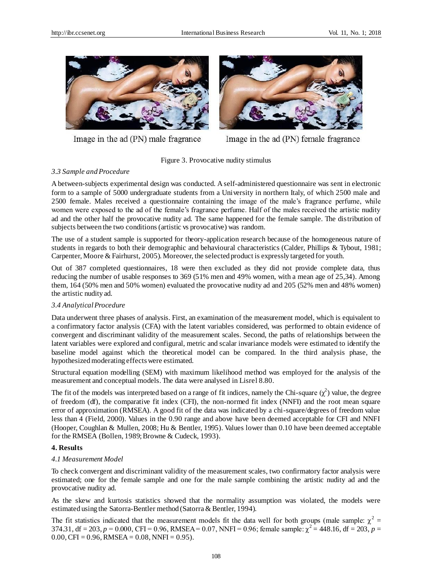

Image in the ad (PN) male fragrance



Image in the ad (PN) female fragrance

Figure 3. Provocative nudity stimulus

# *3.3 Sample and Procedure*

A between-subjects experimental design was conducted. A self-administered questionnaire was sent in electronic form to a sample of 5000 undergraduate students from a University in northern Italy, of which 2500 male and 2500 female. Males received a questionnaire containing the image of the male's fragrance perfume, while women were exposed to the ad of the female's fragrance perfume. Half of the males received the artistic nudity ad and the other half the provocative nudity ad. The same happened for the female sample. The distribution of subjects between the two conditions (artistic vs provocative) was random.

The use of a student sample is supported for theory-application research because of the homogeneous nature of students in regards to both their demographic and behavioural characteristics (Calder, Phillips & Tybout, 1981; Carpenter, Moore & Fairhurst, 2005). Moreover, the selected product is expressly targeted for youth.

Out of 387 completed questionnaires, 18 were then excluded as they did not provide complete data, thus reducing the number of usable responses to 369 (51% men and 49% women, with a mean age of 25,34). Among them, 164 (50% men and 50% women) evaluated the provocative nudity ad and 205 (52% men and 48% women) the artistic nudity ad.

## *3.4 Analytical Procedure*

Data underwent three phases of analysis. First, an examination of the measurement model, which is equivalent to a confirmatory factor analysis (CFA) with the latent variables considered, was performed to obtain evidence of convergent and discriminant validity of the measurement scales. Second, the paths of relationships between the latent variables were explored and configural, metric and scalar invariance models were estimated to identify the baseline model against which the theoretical model can be compared. In the third analysis phase, the hypothesized moderating effects were estimated.

Structural equation modelling (SEM) with maximum likelihood method was employed for the analysis of the measurement and conceptual models. The data were analysed in Lisrel 8.80.

The fit of the models was interpreted based on a range of fit indices, namely the Chi-square  $(\chi^2)$  value, the degree of freedom (df), the comparative fit index (CFI), the non-normed fit index (NNFI) and the root mean square error of approximation (RMSEA). A good fit of the data was indicated by a chi-square/degrees of freedom value less than 4 (Field, 2000). Values in the 0.90 range and above have been deemed acceptable for CFI and NNFI (Hooper, Coughlan & Mullen, 2008; Hu & Bentler, 1995). Values lower than 0.10 have been deemed acceptable for the RMSEA (Bollen, 1989; Browne & Cudeck, 1993).

## **4. Results**

## *4.1 Measurement Model*

To check convergent and discriminant validity of the measurement scales, two confirmatory factor analysis were estimated; one for the female sample and one for the male sample combining the artistic nudity ad and the provocative nudity ad.

As the skew and kurtosis statistics showed that the normality assumption was violated, the models were estimated using the Satorra-Bentler method (Satorra & Bentler, 1994).

The fit statistics indicated that the measurement models fit the data well for both groups (male sample:  $\chi^2$  = 374.31, df = 203,  $p = 0.000$ , CFI = 0.96, RMSEA = 0.07, NNFI = 0.96; female sample:  $\chi^2$  = 448.16, df = 203,  $p =$  $0.00$ , CFI = 0.96, RMSEA = 0.08, NNFI = 0.95).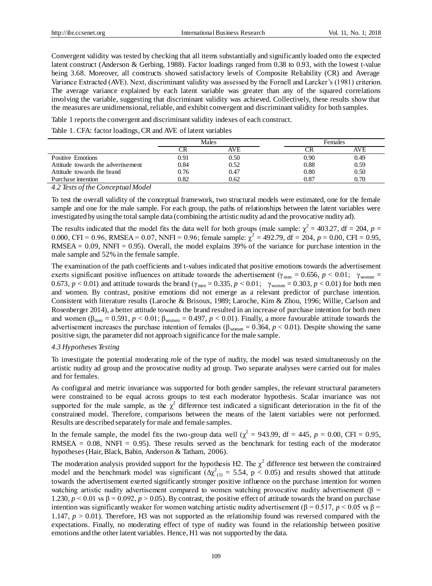Convergent validity was tested by checking that all items substantially and significantly loaded onto the expected latent construct (Anderson & Gerbing, 1988). Factor loadings ranged from 0.38 to 0.93, with the lowest t-value being 3.68. Moreover, all constructs showed satisfactory levels of Composite Reliability (CR) and Average Variance Extracted (AVE). Next, discriminant validity was assessed by the Fornell and Larcker's (1981) criterion. The average variance explained by each latent variable was greater than any of the squared correlations involving the variable, suggesting that discriminant validity was achieved. Collectively, these results show that the measures are unidimensional, reliable, and exhibit convergent and discriminant validity for both samples.

Table 1 reports the convergent and discriminant validity indexes of each construct.

Table 1. CFA: factor loadings, CR and AVE of latent variables

|                                    | Males |      |      | Females |  |
|------------------------------------|-------|------|------|---------|--|
|                                    |       | AVE  |      | AVE     |  |
| Positive Emotions                  | 0.91  | 0.50 | 0.90 | 0.49    |  |
| Attitude towards the advertisement | 0.84  | 0.52 | 0.88 | 0.59    |  |
| Attitude towards the brand         | 0.76  | 0.47 | 0.80 | 0.50    |  |
| Purchase intention                 | 0.82  | 0.62 | 0.87 | 0.70    |  |

*4.2 Tests of the Conceptual Model*

To test the overall validity of the conceptual framework, two structural models were estimated, one for the female sample and one for the male sample. For each group, the paths of relationships between the latent variables were investigated by using the total sample data (combining the artistic nudity ad and the provocative nudity ad).

The results indicated that the model fits the data well for both groups (male sample:  $\chi^2$  = 403.27, df = 204, p = 0.000, CFI = 0.96, RMSEA = 0.07, NNFI = 0.96; female sample:  $\chi^2$  = 492.79, df = 204,  $p = 0.00$ , CFI = 0.95,  $RMSEA = 0.09$ ,  $NNFI = 0.95$ . Overall, the model explains 39% of the variance for purchase intention in the male sample and 52% in the female sample.

The examination of the path coefficients and t-values indicated that positive emotions towards the advertisement exerts significant positive influences on attitude towards the advertisement ( $\gamma_{\text{men}} = 0.656$ ,  $p \le 0.01$ ;  $\gamma_{\text{women}} =$ 0.673,  $p < 0.01$ ) and attitude towards the brand ( $\gamma_{\text{men}} = 0.335$ ,  $p < 0.01$ ;  $\gamma_{\text{woman}} = 0.303$ ,  $p < 0.01$ ) for both men and women. By contrast, positive emotions did not emerge as a relevant predictor of purchase intention. Consistent with literature results (Laroche & Brisoux, 1989; Laroche, Kim & Zhou, 1996; Willie, Carlson and Rosenberger 2014), a better attitude towards the brand resulted in an increase of purchase intention for both men and women ( $\beta_{\text{men}} = 0.591$ ,  $p < 0.01$ ;  $\beta_{\text{women}} = 0.497$ ,  $p < 0.01$ ). Finally, a more favourable attitude towards the advertisement increases the purchase intention of females ( $\beta_{\text{woman}} = 0.364$ ,  $p < 0.01$ ). Despite showing the same positive sign, the parameter did not approach significance for the male sample.

## *4.3 Hypotheses Testing*

To investigate the potential moderating role of the type of nudity, the model was tested simultaneously on the artistic nudity ad group and the provocative nudity ad group. Two separate analyses were carried out for males and for females.

As configural and metric invariance was supported for both gender samples, the relevant structural parameters were constrained to be equal across groups to test each moderator hypothesis. Scalar invariance was not supported for the male sample, as the  $\chi^2$  difference test indicated a significant deterioration in the fit of the constrained model. Therefore, comparisons between the means of the latent variables were not performed. Results are described separately for male and female samples.

In the female sample, the model fits the two-group data well ( $\chi^2$  = 943.99, df = 445,  $p$  = 0.00, CFI = 0.95, RMSEA =  $0.08$ , NNFI =  $0.95$ ). These results served as the benchmark for testing each of the moderator hypotheses (Hair, Black, Babin, Anderson & Tatham, 2006).

The moderation analysis provided support for the hypothesis H2. The  $\chi^2$  difference test between the constrained model and the benchmark model was significant  $(\Delta \chi^2_{(1)} = 5.54, p < 0.05)$  and results showed that attitude towards the advertisement exerted significantly stronger positive influence on the purchase intention for women watching artistic nudity advertisement compared to women watching provocative nudity advertisement (β = 1.230,  $p < 0.01$  vs  $\beta = 0.092$ ,  $p > 0.05$ ). By contrast, the positive effect of attitude towards the brand on purchase intention was significantly weaker for women watching artistic nudity advertisement (β = 0.517, *p* < 0.05 vs β = 1.147,  $p > 0.01$ ). Therefore, H3 was not supported as the relationship found was reversed compared with the expectations. Finally, no moderating effect of type of nudity was found in the relationship between positive emotions and the other latent variables. Hence, H1 was not supported by the data.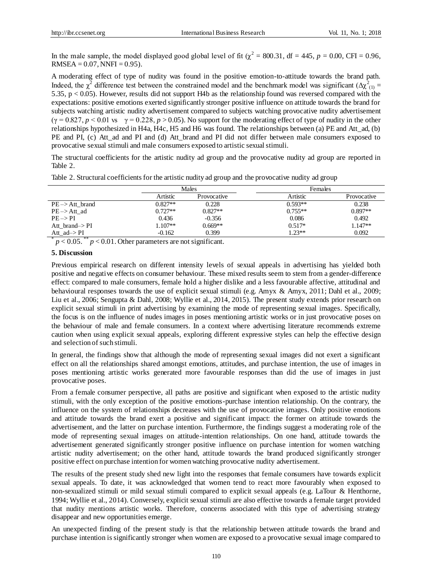In the male sample, the model displayed good global level of fit  $(\chi^2 = 800.31, df = 445, p = 0.00, CFI = 0.96,$  $RMSEA = 0.07$ ,  $NNFI = 0.95$ ).

A moderating effect of type of nudity was found in the positive emotion-to-attitude towards the brand path. Indeed, the  $\chi^2$  difference test between the constrained model and the benchmark model was significant ( $\Delta \chi^2_{(1)}$  = 5.35, p < 0.05). However, results did not support H4b as the relationship found was reversed compared with the expectations: positive emotions exerted significantly stronger positive influence on attitude towards the brand for subjects watching artistic nudity advertisement compared to subjects watching provocative nudity advertisement  $(\gamma = 0.827, p < 0.01 \text{ vs } \gamma = 0.228, p > 0.05)$ . No support for the moderating effect of type of nudity in the other relationships hypothesized in H4a, H4c, H5 and H6 was found. The relationships between (a) PE and Att\_ad, (b) PE and PI, (c) Att ad and PI and (d) Att brand and PI did not differ between male consumers exposed to provocative sexual stimuli and male consumers exposed to artistic sexual stimuli.

The structural coefficients for the artistic nudity ad group and the provocative nudity ad group are reported in Table 2.

|                            | Males     |             | Females   |             |
|----------------------------|-----------|-------------|-----------|-------------|
|                            | Artistic  | Provocative | Artistic  | Provocative |
| $PE \rightarrow At$ brand  | $0.827**$ | 0.228       | $0.593**$ | 0.238       |
| $PE \rightarrow Att$ ad    | $0.727**$ | $0.827**$   | $0.755**$ | $0.897**$   |
| $PE \rightarrow PI$        | 0.436     | $-0.356$    | 0.086     | 0.492       |
| Att brand $\rightarrow$ PI | $1.107**$ | $0.669**$   | $0.517*$  | $1.147**$   |
| Att_ad->PI                 | $-0.162$  | 0.399       | $1.23**$  | 0.092       |

Table 2. Structural coefficients for the artistic nudity ad group and the provocative nudity ad group

 $p < 0.05$ .  $p < 0.01$ . Other parameters are not significant.

## **5. Discussion**

Previous empirical research on different intensity levels of sexual appeals in advertising has yielded both positive and negative effects on consumer behaviour. These mixed results seem to stem from a gender-difference effect: compared to male consumers, female hold a higher dislike and a less favourable affective, attitudinal and behavioural responses towards the use of explicit sexual stimuli (e.g. Amyx & Amyx, 2011; Dahl et al., 2009; Liu et al., 2006; Sengupta & Dahl, 2008; Wyllie et al., 2014, 2015). The present study extends prior research on explicit sexual stimuli in print advertising by examining the mode of representing sexual images. Specifically, the focus is on the influence of nudes images in poses mentioning artistic works or in just provocative poses on the behaviour of male and female consumers. In a context where advertising literature recommends extreme caution when using explicit sexual appeals, exploring different expressive styles can help the effective design and selection of such stimuli.

In general, the findings show that although the mode of representing sexual images did not exert a significant effect on all the relationships shared amongst emotions, attitudes, and purchase intention, the use of images in poses mentioning artistic works generated more favourable responses than did the use of images in just provocative poses.

From a female consumer perspective, all paths are positive and significant when exposed to the artistic nudity stimuli, with the only exception of the positive emotions-purchase intention relationship. On the contrary, the influence on the system of relationships decreases with the use of provocative images. Only positive emotions and attitude towards the brand exert a positive and significant impact: the former on attitude towards the advertisement, and the latter on purchase intention. Furthermore, the findings suggest a moderating role of the mode of representing sexual images on attitude-intention relationships. On one hand, attitude towards the advertisement generated significantly stronger positive influence on purchase intention for women watching artistic nudity advertisement; on the other hand, attitude towards the brand produced significantly stronger positive effect on purchase intention for women watching provocative nudity advertisement.

The results of the present study shed new light into the responses that female consumers have towards explicit sexual appeals. To date, it was acknowledged that women tend to react more favourably when exposed to non-sexualized stimuli or mild sexual stimuli compared to explicit sexual appeals (e.g. LaTour & Henthorne, 1994; Wyllie et al., 2014). Conversely, explicit sexual stimuli are also effective towards a female target provided that nudity mentions artistic works. Therefore, concerns associated with this type of advertising strategy disappear and new opportunities emerge.

An unexpected finding of the present study is that the relationship between attitude towards the brand and purchase intention is significantly stronger when women are exposed to a provocative sexual image compared to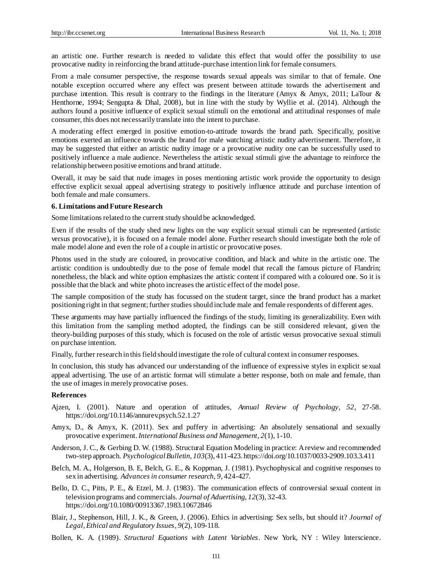an artistic one. Further research is needed to validate this effect that would offer the possibility to use provocative nudity in reinforcing the brand attitude-purchase intention link for female consumers.

From a male consumer perspective, the response towards sexual appeals was similar to that of female. One notable exception occurred where any effect was present between attitude towards the advertisement and purchase intention. This result is contrary to the findings in the literature (Amyx & Amyx, 2011; LaTour & Henthorne, 1994; Sengupta & Dhal, 2008), but in line with the study by Wyllie et al. (2014). Although the authors found a positive influence of explicit sexual stimuli on the emotional and attitudinal responses of male consumer, this does not necessarily translate into the intent to purchase.

A moderating effect emerged in positive emotion-to-attitude towards the brand path. Specifically, positive emotions exerted an influence towards the brand for male watching artistic nudity advertisement. Therefore, it may be suggested that either an artistic nudity image or a provocative nudity one can be successfully used to positively influence a male audience. Nevertheless the artistic sexual stimuli give the advantage to reinforce the relationship between positive emotions and brand attitude.

Overall, it may be said that nude images in poses mentioning artistic work provide the opportunity to design effective explicit sexual appeal advertising strategy to positively influence attitude and purchase intention of both female and male consumers.

### **6. Limitations and Future Research**

Some limitations related to the current study should be acknowledged.

Even if the results of the study shed new lights on the way explicit sexual stimuli can be represented (artistic versus provocative), it is focused on a female model alone. Further research should investigate both the role of male model alone and even the role of a couple in artistic or provocative poses.

Photos used in the study are coloured, in provocative condition, and black and white in the artistic one. The artistic condition is undoubtedly due to the pose of female model that recall the famous picture of Flandrin; nonetheless, the black and white option emphasizes the artistic content if compared with a coloured one. So it is possible that the black and white photo increases the artistic effect of the model pose.

The sample composition of the study has focussed on the student target, since the brand product has a market positioning right in that segment; further studies should include male and female respondents of different ages.

These arguments may have partially influenced the findings of the study, limiting its generalizability. Even with this limitation from the sampling method adopted, the findings can be still considered relevant, given the theory-building purposes of this study, which is focused on the role of artistic versus provocative sexual stimuli on purchase intention.

Finally, further research in this field should investigate the role of cultural context in consumer responses.

In conclusion, this study has advanced our understanding of the influence of expressive styles in explicit sexual appeal advertising. The use of an artistic format will stimulate a better response, both on male and female, than the use of images in merely provocative poses.

## **References**

- Ajzen, I. (2001). Nature and operation of attitudes, *Annual Review of Psychology*, *52*, 27-58. https://doi.org/10.1146/annurev.psych.52.1.27
- Amyx, D., & Amyx, K. (2011). Sex and puffery in advertising: An absolutely sensational and sexually provocative experiment.*International Business and Management*, *2*(1), 1-10.
- Anderson, J. C., & Gerbing D. W. (1988). Structural Equation Modeling in practice: A review and recommended two-step approach. *Psychological Bulletin*, *103*(3), 411-423. https://doi.org/10.1037/0033-2909.103.3.411
- Belch, M. A., Holgerson, B. E, Belch, G. E., & Koppman, J. (1981). Psychophysical and cognitive responses to sex in advertising. *Advances in consumer research, 9*, 424-427.
- Bello, D. C., Pitts, P. E., & Etzel, M. J. (1983). The communication effects of controversial sexual content in television programs and commercials. *Journal of Aduertising*, *12*(3), 32-43. https://doi.org/10.1080/00913367.1983.10672846
- Blair, J., Stephenson, Hill, J. K., & Green, J. (2006). Ethics in advertising: Sex sells, but should it? *Journal of Legal, Ethical and Regulatory Issues*, *9*(2), 109-118.
- Bollen, K. A. (1989). *Structural Equations with Latent Variables*. New York, NY : Wiley Interscience.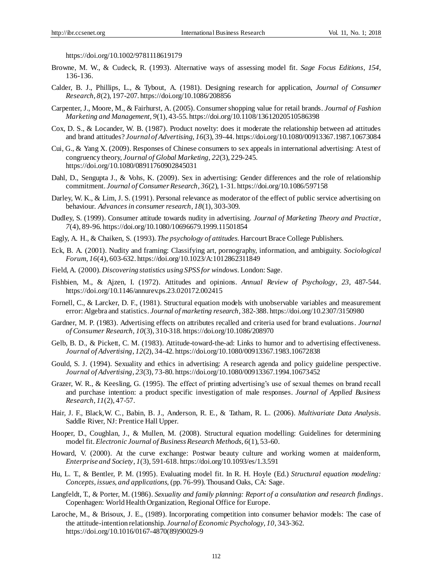https://doi.org/10.1002/9781118619179

- Browne, M. W., & Cudeck, R. (1993). Alternative ways of assessing model fit. *Sage Focus Editions*, *154*, 136-136.
- Calder, B. J., Phillips, L., & Tybout, A. (1981). Designing research for application, *Journal of Consumer Research*, *8*(2), 197-207. https://doi.org/10.1086/208856
- Carpenter, J., Moore, M., & Fairhurst, A. (2005). Consumer shopping value for retail brands. *Journal of Fashion Marketing and Management*, *9*(1), 43-55. https://doi.org/10.1108/13612020510586398
- Cox, D. S., & Locander, W. B. (1987). Product novelty: does it moderate the relationship between ad attitudes and brand attitudes? *Journal of Advertising*, *16*(3), 39-44. https://doi.org/10.1080/00913367.1987.10673084
- Cui, G., & Yang X. (2009). Responses of Chinese consumers to sex appeals in international advertising: A test of congruency theory, *Journal of Global Marketing, 22*(3), 229-245. https://doi.org/10.1080/08911760902845031
- Dahl, D., Sengupta J., & Vohs, K. (2009). Sex in advertising: Gender differences and the role of relationship commitment. *Journal of Consumer Research*, *36*(2), 1-31. https://doi.org/10.1086/597158
- Darley, W. K., & Lim, J. S. (1991). Personal relevance as moderator of the effect of public service advertising on behaviour. *Advances in consumer research*, *18*(1), 303-309.
- Dudley, S. (1999). Consumer attitude towards nudity in advertising. *Journal of Marketing Theory and Practice*, *7*(4), 89-96. https://doi.org/10.1080/10696679.1999.11501854
- Eagly, A. H., & Chaiken, S. (1993). *The psychology of attitudes.* Harcourt Brace College Publishers.
- Eck, B. A. (2001). Nudity and framing: Classifying art, pornography, information, and ambiguity. *Sociological Forum*, *16*(4), 603-632. https://doi.org/10.1023/A:1012862311849
- Field, A. (2000). *Discovering statistics using SPSS for windows.* London: Sage.
- Fishbien, M., & Ajzen, I. (1972). Attitudes and opinions. *Annual Review of Psychology*, *23*, 487-544. https://doi.org/10.1146/annurev.ps.23.020172.002415
- Fornell, C., & Larcker, D. F., (1981). Structural equation models with unobservable variables and measurement error: Algebra and statistics. *Journal of marketing research*, 382-388. https://doi.org/10.2307/3150980
- Gardner, M. P. (1983). Advertising effects on attributes recalled and criteria used for brand evaluations. *Journal of Consumer Research, 10*(3), 310-318. https://doi.org/10.1086/208970
- Gelb, B. D., & Pickett, C. M. (1983). Attitude-toward-the-ad: Links to humor and to advertising effectiveness. *Journal of Advertising*, *12*(2), 34-42. https://doi.org/10.1080/00913367.1983.10672838
- Gould, S. J. (1994). Sexuality and ethics in advertising: A research agenda and policy guideline perspective. *Journal of Advertising*, *23*(3), 73-80. https://doi.org/10.1080/00913367.1994.10673452
- Grazer, W. R., & Keesling, G. (1995). The effect of printing advertising's use of sexual themes on brand recall and purchase intention: a product specific investigation of male responses. *Journal of Applied Business Research*, *11*(2), 47-57.
- Hair, J. F., Black,W. C., Babin, B. J., Anderson, R. E., & Tatham, R. L. (2006). *Multivariate Data Analysis.*  Saddle River, NJ: Prentice Hall Upper.
- Hooper, D., Coughlan, J., & Mullen, M. (2008). Structural equation modelling: Guidelines for determining model fit. *Electronic Journal of Business Research Methods*, *6*(1), 53-60.
- Howard, V. (2000). At the curve exchange: Postwar beauty culture and working women at maidenform, *Enterprise and Society*, *1*(3), 591-618. https://doi.org/10.1093/es/1.3.591
- Hu, L. T., & Bentler, P. M. (1995). Evaluating model fit. In R. H. Hoyle (Ed.) *Structural equation modeling: Concepts, issues, and applications,* (pp. 76-99). Thousand Oaks, CA: Sage.
- Langfeldt, T., & Porter, M. (1986). *Sexuality and family planning: Report of a consultation and research findings*. Copenhagen: World Health Organization, Regional Office for Europe.
- Laroche, M., & Brisoux, J. E., (1989). Incorporating competition into consumer behavior models: The case of the attitude-intention relationship. *Journal of Economic Psychology*, *10*, 343-362. https://doi.org/10.1016/0167-4870(89)90029-9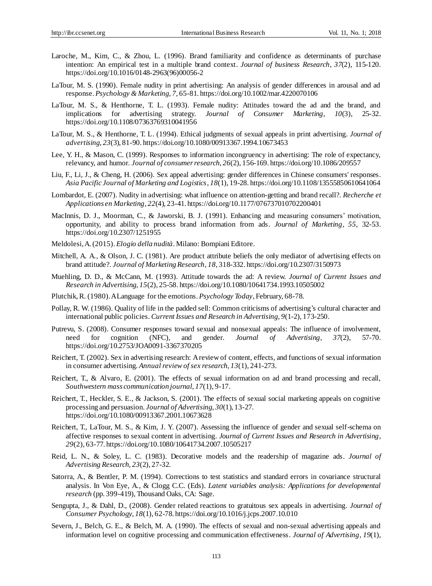- Laroche, M., Kim, C., & Zhou, L. (1996). Brand familiarity and confidence as determinants of purchase intention: An empirical test in a multiple brand context. *Journal of business Research*, *37*(2), 115-120. https://doi.org/10.1016/0148-2963(96)00056-2
- LaTour, M. S. (1990). Female nudity in print advertising: An analysis of gender differences in arousal and ad response. *Psychology & Marketing, 7*, 65-81. https://doi.org/10.1002/mar.4220070106
- LaTour, M. S., & Henthorne, T. L. (1993). Female nudity: Attitudes toward the ad and the brand, and implications for advertising strategy. *Journal of Consumer Marketing*, *10*(3), 25-32. https://doi.org/10.1108/07363769310041956
- LaTour, M. S., & Henthorne, T. L. (1994). Ethical judgments of sexual appeals in print advertising. *Journal of advertising*, *23*(3), 81-90. https://doi.org/10.1080/00913367.1994.10673453
- Lee, Y. H., & Mason, C. (1999). Responses to information incongruency in advertising: The role of expectancy, relevancy, and humor. *Journal of consumer research*, *26*(2), 156-169. https://doi.org/10.1086/209557
- Liu, F., Li, J., & Cheng, H. (2006). Sex appeal advertising: gender differences in Chinese consumers' responses. *Asia Pacific Journal of Marketing and Logistics*, *18*(1), 19-28. https://doi.org/10.1108/13555850610641064
- Lombardot, E. (2007). Nudity in advertising: what influence on attention-getting and brand recall?. *Recherche et Applications en Marketing*, *22*(4), 23-41. https://doi.org/10.1177/076737010702200401
- MacInnis, D. J., Moorman, C., & Jaworski, B. J. (1991). Enhancing and measuring consumers' motivation, opportunity, and ability to process brand information from ads. *Journal of Marketing*, *55*, 32-53. https://doi.org/10.2307/1251955
- Meldolesi, A.(2015). *Elogio della nudità*. Milano: Bompiani Editore.
- Mitchell, A. A., & Olson, J. C. (1981). Are product attribute beliefs the only mediator of advertising effects on brand attitude?. *Journal of Marketing Research*, *18*, 318-332. https://doi.org/10.2307/3150973
- Muehling, D. D., & McCann, M. (1993). Attitude towards the ad: A review. *Journal of Current Issues and Research in Advertising*, *15*(2), 25-58. https://doi.org/10.1080/10641734.1993.10505002
- Plutchik, R. (1980).A Language for the emotions. *Psychology Today*, February, 68-78.
- Pollay, R. W. (1986). Quality of life in the padded sell: Common criticisms of advertising's cultural character and international public policies.*Current Issues and Research in Advertising*, *9*(1-2), 173-250.
- Putrevu, S. (2008). Consumer responses toward sexual and nonsexual appeals: The influence of involvement, need for cognition (NFC), and gender. *Journal of Advertising*, *37*(2), 57-70. https://doi.org/10.2753/JOA0091-3367370205
- Reichert, T. (2002). Sex in advertising research: A review of content, effects, and functions of sexual information in consumer advertising. *Annual review of sex research*, *13*(1), 241-273.
- Reichert, T., & Alvaro, E. (2001). The effects of sexual information on ad and brand processing and recall, *Southwestern mass communication journal*, *17*(1), 9-17.
- Reichert, T., Heckler, S. E., & Jackson, S. (2001). The effects of sexual social marketing appeals on cognitive processing and persuasion. *Journal of Advertising*, *30*(1), 13-27. https://doi.org/10.1080/00913367.2001.10673628
- Reichert, T., LaTour, M. S., & Kim, J. Y. (2007). Assessing the influence of gender and sexual self-schema on affective responses to sexual content in advertising. *Journal of Current Issues and Research in Advertising*, *29*(2), 63-77. https://doi.org/10.1080/10641734.2007.10505217
- Reid, L. N., & Soley, L. C. (1983). Decorative models and the readership of magazine ads. *Journal of Advertising Research*, *23*(2), 27-32.
- Satorra, A., & Bentler, P. M. (1994). Corrections to test statistics and standard errors in covariance structural analysis. In Von Eye, A., & Clogg C.C. (Eds). *Latent variables analysis: Applications for developmental research* (pp. 399-419), Thousand Oaks, CA: Sage.
- Sengupta, J., & Dahl, D., (2008). Gender related reactions to gratuitous sex appeals in advertising. *Journal of Consumer Psychology*, *18*(1), 62-78. https://doi.org/10.1016/j.jcps.2007.10.010
- Severn, J., Belch, G. E., & Belch, M. A. (1990). The effects of sexual and non-sexual advertising appeals and information level on cognitive processing and communication effectiveness. *Journal of Advertising, 19*(1),